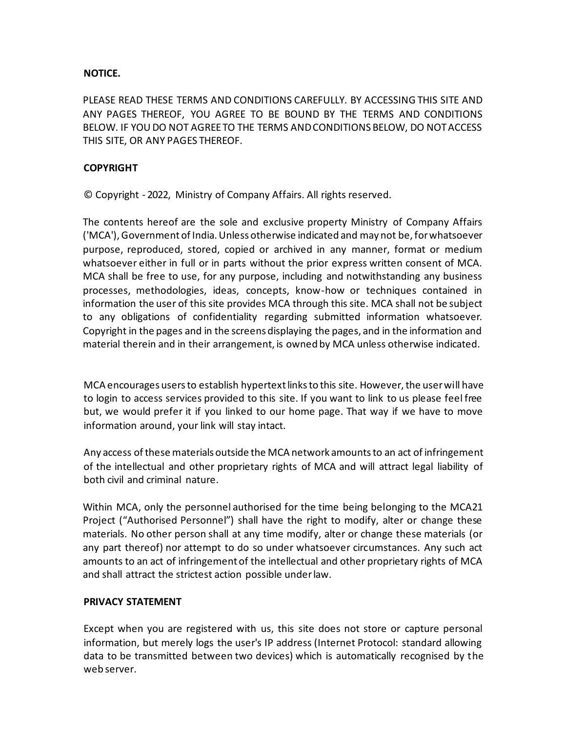## **NOTICE.**

PLEASE READ THESE TERMS AND CONDITIONS CAREFULLY. BY ACCESSING THIS SITE AND ANY PAGES THEREOF, YOU AGREE TO BE BOUND BY THE TERMS AND CONDITIONS BELOW. IF YOU DO NOT AGREE TO THE TERMS AND CONDITIONS BELOW, DO NOT ACCESS THIS SITE, OR ANY PAGES THEREOF.

## **COPYRIGHT**

© Copyright - 2022, Ministry of Company Affairs. All rights reserved.

The contents hereof are the sole and exclusive property Ministry of Company Affairs ('MCA'), Government of India. Unless otherwise indicated and may not be, for whatsoever purpose, reproduced, stored, copied or archived in any manner, format or medium whatsoever either in full or in parts without the prior express written consent of MCA. MCA shall be free to use, for any purpose, including and notwithstanding any business processes, methodologies, ideas, concepts, know-how or techniques contained in information the user of this site provides MCA through this site. MCA shall not be subject to any obligations of confidentiality regarding submitted information whatsoever. Copyright in the pages and in the screens displaying the pages, and in the information and material therein and in their arrangement, is owned by MCA unless otherwise indicated.

MCA encourages users to establish hypertext links to this site. However, the user will have to login to access services provided to this site. If you want to link to us please feel free but, we would prefer it if you linked to our home page. That way if we have to move information around, your link will stay intact.

Any access of these materials outside the MCA network amounts to an act of infringement of the intellectual and other proprietary rights of MCA and will attract legal liability of both civil and criminal nature.

Within MCA, only the personnel authorised for the time being belonging to the MCA21 Project ("Authorised Personnel") shall have the right to modify, alter or change these materials. No other person shall at any time modify, alter or change these materials (or any part thereof) nor attempt to do so under whatsoever circumstances. Any such act amounts to an act of infringement of the intellectual and other proprietary rights of MCA and shall attract the strictest action possible under law.

## **PRIVACY STATEMENT**

Except when you are registered with us, this site does not store or capture personal information, but merely logs the user's IP address (Internet Protocol: standard allowing data to be transmitted between two devices) which is automatically recognised by the web server.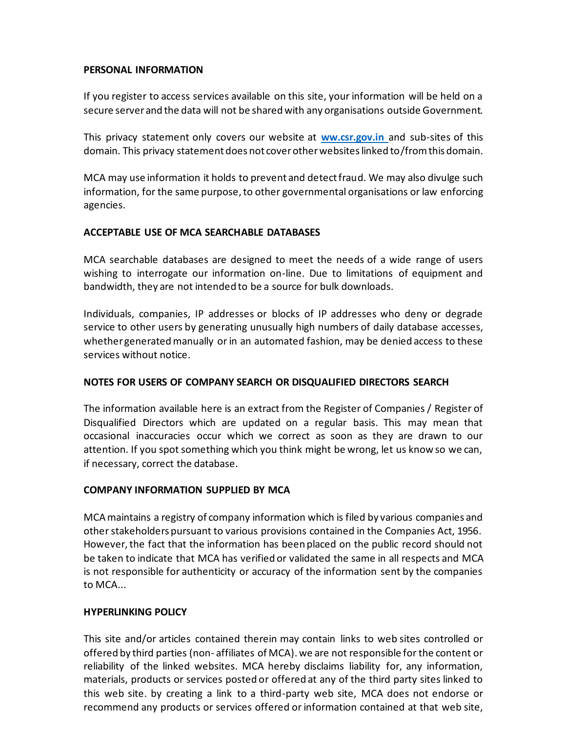### **PERSONAL INFORMATION**

If you register to access services available on this site, your information will be held on a secure server and the data will not be shared with any organisations outside Government.

This privacy statement only covers our website at **[ww.csr.gov.in](http://www.iepf.gov.in/)** and sub-sites of this domain. This privacy statement does not cover other websites linked to/from this domain.

MCA may use information it holds to prevent and detect fraud. We may also divulge such information, for the same purpose, to other governmental organisations or law enforcing agencies.

## **ACCEPTABLE USE OF MCA SEARCHABLE DATABASES**

MCA searchable databases are designed to meet the needs of a wide range of users wishing to interrogate our information on-line. Due to limitations of equipment and bandwidth, they are not intended to be a source for bulk downloads.

Individuals, companies, IP addresses or blocks of IP addresses who deny or degrade service to other users by generating unusually high numbers of daily database accesses, whether generated manually or in an automated fashion, may be denied access to these services without notice.

# **NOTES FOR USERS OF COMPANY SEARCH OR DISQUALIFIED DIRECTORS SEARCH**

The information available here is an extract from the Register of Companies / Register of Disqualified Directors which are updated on a regular basis. This may mean that occasional inaccuracies occur which we correct as soon as they are drawn to our attention. If you spot something which you think might be wrong, let us know so we can, if necessary, correct the database.

## **COMPANY INFORMATION SUPPLIED BY MCA**

MCA maintains a registry of company information which is filed by various companies and other stakeholders pursuant to various provisions contained in the Companies Act, 1956. However, the fact that the information has been placed on the public record should not be taken to indicate that MCA has verified or validated the same in all respects and MCA is not responsible for authenticity or accuracy of the information sent by the companies to MCA...

# **HYPERLINKING POLICY**

This site and/or articles contained therein may contain links to web sites controlled or offered by third parties (non- affiliates of MCA). we are not responsible for the content or reliability of the linked websites. MCA hereby disclaims liability for, any information, materials, products or services posted or offered at any of the third party sites linked to this web site. by creating a link to a third-party web site, MCA does not endorse or recommend any products or services offered or information contained at that web site,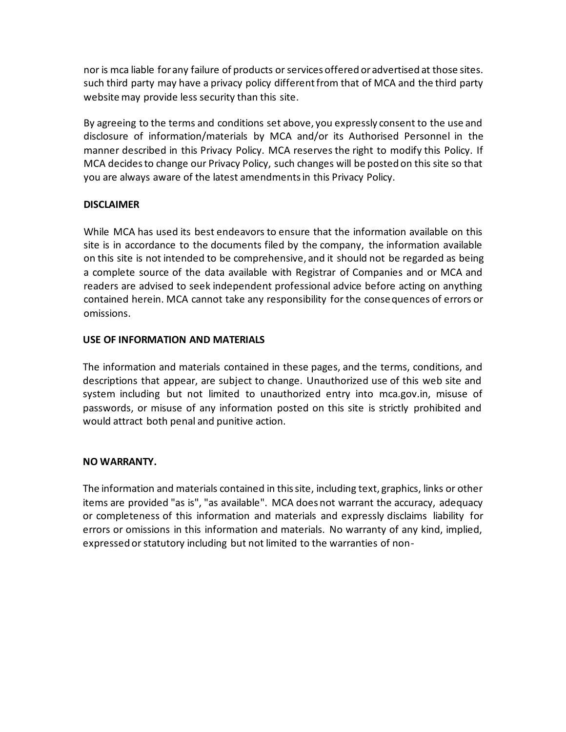nor is mca liable for any failure of products or services offered or advertised at those sites. such third party may have a privacy policy different from that of MCA and the third party website may provide less security than this site.

By agreeing to the terms and conditions set above, you expressly consent to the use and disclosure of information/materials by MCA and/or its Authorised Personnel in the manner described in this Privacy Policy. MCA reserves the right to modify this Policy. If MCA decides to change our Privacy Policy, such changes will be posted on this site so that you are always aware of the latest amendments in this Privacy Policy.

## **DISCLAIMER**

While MCA has used its best endeavors to ensure that the information available on this site is in accordance to the documents filed by the company, the information available on this site is not intended to be comprehensive, and it should not be regarded as being a complete source of the data available with Registrar of Companies and or MCA and readers are advised to seek independent professional advice before acting on anything contained herein. MCA cannot take any responsibility for the consequences of errors or omissions.

### **USE OF INFORMATION AND MATERIALS**

The information and materials contained in these pages, and the terms, conditions, and descriptions that appear, are subject to change. Unauthorized use of this web site and system including but not limited to unauthorized entry into mca.gov.in, misuse of passwords, or misuse of any information posted on this site is strictly prohibited and would attract both penal and punitive action.

#### **NO WARRANTY.**

The information and materials contained in this site, including text, graphics, links or other items are provided "as is", "as available". MCA does not warrant the accuracy, adequacy or completeness of this information and materials and expressly disclaims liability for errors or omissions in this information and materials. No warranty of any kind, implied, expressed or statutory including but not limited to the warranties of non